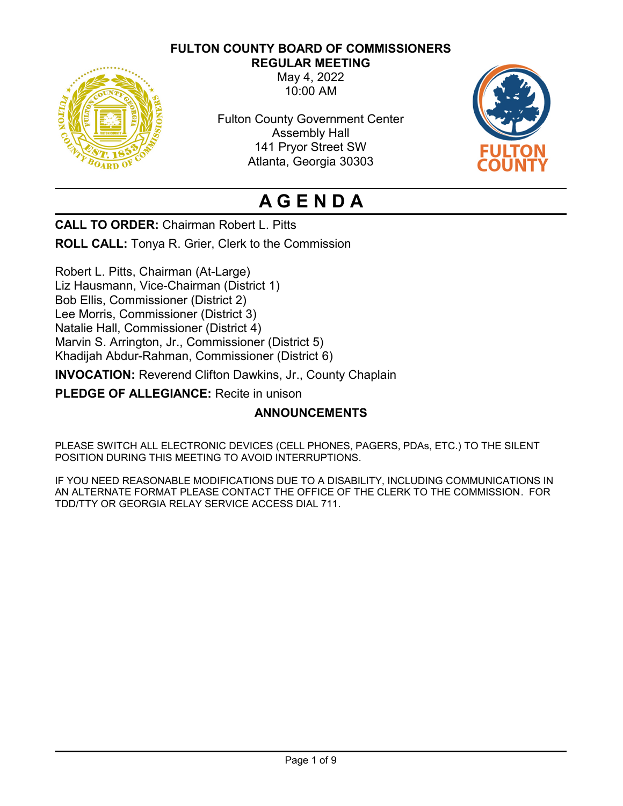# **FULTON COUNTY BOARD OF COMMISSIONERS**



**REGULAR MEETING** May 4, 2022 10:00 AM

Fulton County Government Center Assembly Hall 141 Pryor Street SW Atlanta, Georgia 30303



# **A G E N D A**

**CALL TO ORDER:** Chairman Robert L. Pitts

**ROLL CALL:** Tonya R. Grier, Clerk to the Commission

Robert L. Pitts, Chairman (At-Large) Liz Hausmann, Vice-Chairman (District 1) Bob Ellis, Commissioner (District 2) Lee Morris, Commissioner (District 3) Natalie Hall, Commissioner (District 4) Marvin S. Arrington, Jr., Commissioner (District 5) Khadijah Abdur-Rahman, Commissioner (District 6)

**INVOCATION:** Reverend Clifton Dawkins, Jr., County Chaplain

**PLEDGE OF ALLEGIANCE:** Recite in unison

# **ANNOUNCEMENTS**

PLEASE SWITCH ALL ELECTRONIC DEVICES (CELL PHONES, PAGERS, PDAs, ETC.) TO THE SILENT POSITION DURING THIS MEETING TO AVOID INTERRUPTIONS.

IF YOU NEED REASONABLE MODIFICATIONS DUE TO A DISABILITY, INCLUDING COMMUNICATIONS IN AN ALTERNATE FORMAT PLEASE CONTACT THE OFFICE OF THE CLERK TO THE COMMISSION. FOR TDD/TTY OR GEORGIA RELAY SERVICE ACCESS DIAL 711.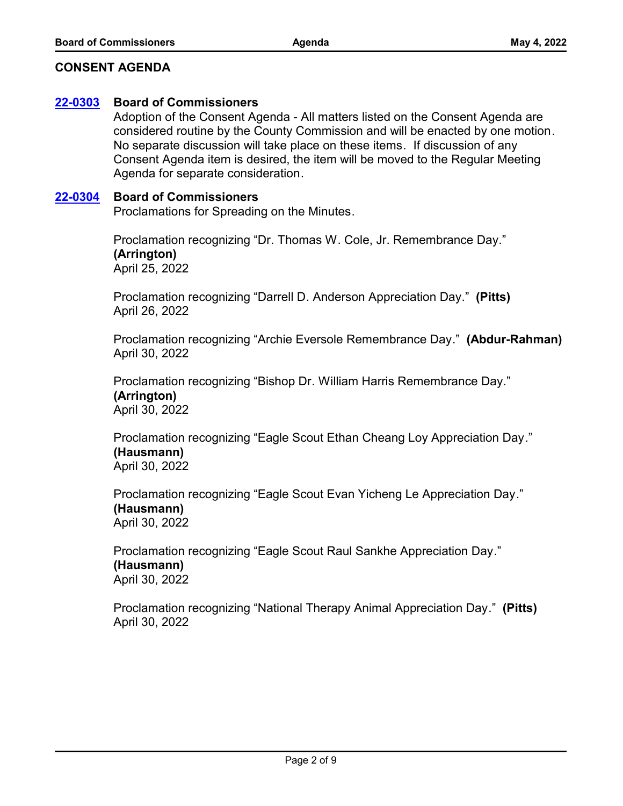## **CONSENT AGENDA**

#### **[22-0303](http://fulton.legistar.com/gateway.aspx?m=l&id=/matter.aspx?key=10768) Board of Commissioners**

Adoption of the Consent Agenda - All matters listed on the Consent Agenda are considered routine by the County Commission and will be enacted by one motion. No separate discussion will take place on these items. If discussion of any Consent Agenda item is desired, the item will be moved to the Regular Meeting Agenda for separate consideration.

#### **[22-0304](http://fulton.legistar.com/gateway.aspx?m=l&id=/matter.aspx?key=10769) Board of Commissioners**

Proclamations for Spreading on the Minutes.

Proclamation recognizing "Dr. Thomas W. Cole, Jr. Remembrance Day." **(Arrington)** April 25, 2022

Proclamation recognizing "Darrell D. Anderson Appreciation Day." **(Pitts)** April 26, 2022

Proclamation recognizing "Archie Eversole Remembrance Day." **(Abdur-Rahman)** April 30, 2022

Proclamation recognizing "Bishop Dr. William Harris Remembrance Day." **(Arrington)** April 30, 2022

Proclamation recognizing "Eagle Scout Ethan Cheang Loy Appreciation Day." **(Hausmann)** April 30, 2022

Proclamation recognizing "Eagle Scout Evan Yicheng Le Appreciation Day." **(Hausmann)** April 30, 2022

Proclamation recognizing "Eagle Scout Raul Sankhe Appreciation Day." **(Hausmann)** April 30, 2022

Proclamation recognizing "National Therapy Animal Appreciation Day." **(Pitts)** April 30, 2022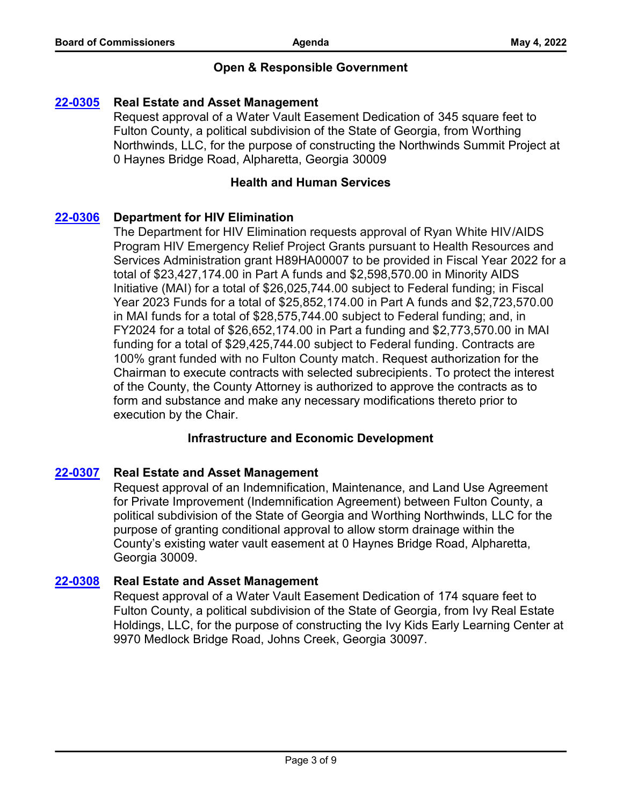# **Open & Responsible Government**

#### **[22-0305](http://fulton.legistar.com/gateway.aspx?m=l&id=/matter.aspx?key=10707) Real Estate and Asset Management**

Request approval of a Water Vault Easement Dedication of 345 square feet to Fulton County, a political subdivision of the State of Georgia, from Worthing Northwinds, LLC, for the purpose of constructing the Northwinds Summit Project at 0 Haynes Bridge Road, Alpharetta, Georgia 30009

#### **Health and Human Services**

## **[22-0306](http://fulton.legistar.com/gateway.aspx?m=l&id=/matter.aspx?key=10410) Department for HIV Elimination**

The Department for HIV Elimination requests approval of Ryan White HIV/AIDS Program HIV Emergency Relief Project Grants pursuant to Health Resources and Services Administration grant H89HA00007 to be provided in Fiscal Year 2022 for a total of \$23,427,174.00 in Part A funds and \$2,598,570.00 in Minority AIDS Initiative (MAI) for a total of \$26,025,744.00 subject to Federal funding; in Fiscal Year 2023 Funds for a total of \$25,852,174.00 in Part A funds and \$2,723,570.00 in MAI funds for a total of \$28,575,744.00 subject to Federal funding; and, in FY2024 for a total of \$26,652,174.00 in Part a funding and \$2,773,570.00 in MAI funding for a total of \$29,425,744.00 subject to Federal funding. Contracts are 100% grant funded with no Fulton County match. Request authorization for the Chairman to execute contracts with selected subrecipients. To protect the interest of the County, the County Attorney is authorized to approve the contracts as to form and substance and make any necessary modifications thereto prior to execution by the Chair.

## **Infrastructure and Economic Development**

## **[22-0307](http://fulton.legistar.com/gateway.aspx?m=l&id=/matter.aspx?key=10714) Real Estate and Asset Management**

Request approval of an Indemnification, Maintenance, and Land Use Agreement for Private Improvement (Indemnification Agreement) between Fulton County, a political subdivision of the State of Georgia and Worthing Northwinds, LLC for the purpose of granting conditional approval to allow storm drainage within the County's existing water vault easement at 0 Haynes Bridge Road, Alpharetta, Georgia 30009.

## **[22-0308](http://fulton.legistar.com/gateway.aspx?m=l&id=/matter.aspx?key=10715) Real Estate and Asset Management**

Request approval of a Water Vault Easement Dedication of 174 square feet to Fulton County, a political subdivision of the State of Georgia, from Ivy Real Estate Holdings, LLC, for the purpose of constructing the Ivy Kids Early Learning Center at 9970 Medlock Bridge Road, Johns Creek, Georgia 30097.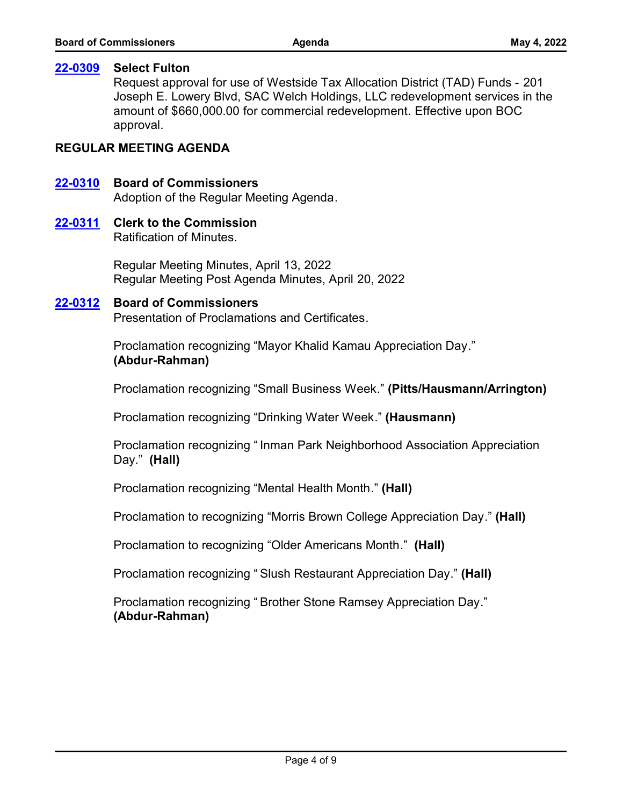#### **[22-0309](http://fulton.legistar.com/gateway.aspx?m=l&id=/matter.aspx?key=10780) Select Fulton**

Request approval for use of Westside Tax Allocation District (TAD) Funds - 201 Joseph E. Lowery Blvd, SAC Welch Holdings, LLC redevelopment services in the amount of \$660,000.00 for commercial redevelopment. Effective upon BOC approval.

## **REGULAR MEETING AGENDA**

#### **[22-0310](http://fulton.legistar.com/gateway.aspx?m=l&id=/matter.aspx?key=10770) Board of Commissioners**

Adoption of the Regular Meeting Agenda.

#### **[22-0311](http://fulton.legistar.com/gateway.aspx?m=l&id=/matter.aspx?key=10771) Clerk to the Commission**

Ratification of Minutes.

Regular Meeting Minutes, April 13, 2022 Regular Meeting Post Agenda Minutes, April 20, 2022

#### **[22-0312](http://fulton.legistar.com/gateway.aspx?m=l&id=/matter.aspx?key=10772) Board of Commissioners**

Presentation of Proclamations and Certificates.

Proclamation recognizing "Mayor Khalid Kamau Appreciation Day." **(Abdur-Rahman)**

Proclamation recognizing "Small Business Week." **(Pitts/Hausmann/Arrington)**

Proclamation recognizing "Drinking Water Week." **(Hausmann)**

Proclamation recognizing " Inman Park Neighborhood Association Appreciation Day." **(Hall)**

Proclamation recognizing "Mental Health Month." **(Hall)**

Proclamation to recognizing "Morris Brown College Appreciation Day." **(Hall)**

Proclamation to recognizing "Older Americans Month." **(Hall)**

Proclamation recognizing " Slush Restaurant Appreciation Day." **(Hall)**

Proclamation recognizing " Brother Stone Ramsey Appreciation Day." **(Abdur-Rahman)**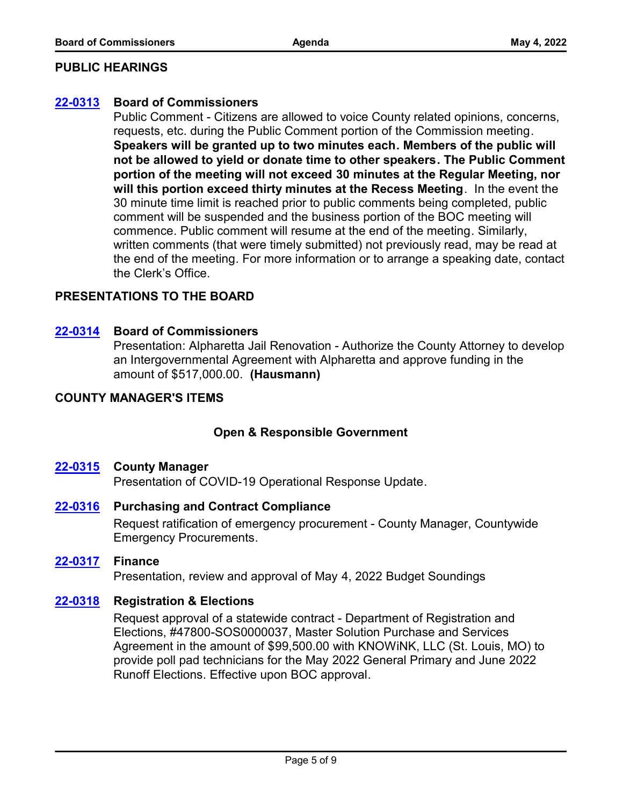## **PUBLIC HEARINGS**

## **[22-0313](http://fulton.legistar.com/gateway.aspx?m=l&id=/matter.aspx?key=10773) Board of Commissioners**

Public Comment - Citizens are allowed to voice County related opinions, concerns, requests, etc. during the Public Comment portion of the Commission meeting. **Speakers will be granted up to two minutes each. Members of the public will not be allowed to yield or donate time to other speakers. The Public Comment portion of the meeting will not exceed 30 minutes at the Regular Meeting, nor will this portion exceed thirty minutes at the Recess Meeting**. In the event the 30 minute time limit is reached prior to public comments being completed, public comment will be suspended and the business portion of the BOC meeting will commence. Public comment will resume at the end of the meeting. Similarly, written comments (that were timely submitted) not previously read, may be read at the end of the meeting. For more information or to arrange a speaking date, contact the Clerk's Office.

# **PRESENTATIONS TO THE BOARD**

## **[22-0314](http://fulton.legistar.com/gateway.aspx?m=l&id=/matter.aspx?key=10796) Board of Commissioners**

Presentation: Alpharetta Jail Renovation - Authorize the County Attorney to develop an Intergovernmental Agreement with Alpharetta and approve funding in the amount of \$517,000.00. **(Hausmann)**

# **COUNTY MANAGER'S ITEMS**

# **Open & Responsible Government**

#### **[22-0315](http://fulton.legistar.com/gateway.aspx?m=l&id=/matter.aspx?key=10738) County Manager**

Presentation of COVID-19 Operational Response Update.

## **[22-0316](http://fulton.legistar.com/gateway.aspx?m=l&id=/matter.aspx?key=10787) Purchasing and Contract Compliance**

Request ratification of emergency procurement - County Manager, Countywide Emergency Procurements.

## **[22-0317](http://fulton.legistar.com/gateway.aspx?m=l&id=/matter.aspx?key=10455) Finance**

Presentation, review and approval of May 4, 2022 Budget Soundings

## **[22-0318](http://fulton.legistar.com/gateway.aspx?m=l&id=/matter.aspx?key=10516) Registration & Elections**

Request approval of a statewide contract - Department of Registration and Elections, #47800-SOS0000037, Master Solution Purchase and Services Agreement in the amount of \$99,500.00 with KNOWiNK, LLC (St. Louis, MO) to provide poll pad technicians for the May 2022 General Primary and June 2022 Runoff Elections. Effective upon BOC approval.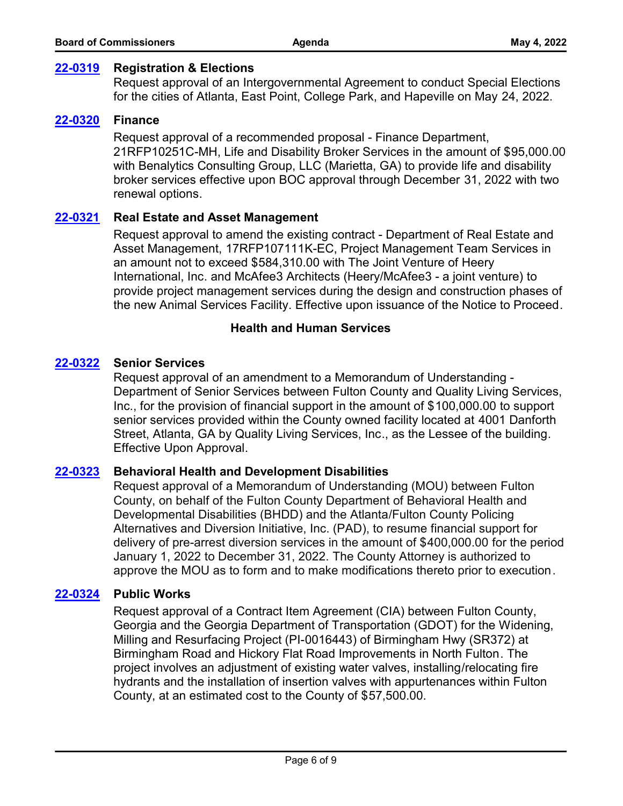#### **[22-0319](http://fulton.legistar.com/gateway.aspx?m=l&id=/matter.aspx?key=10732) Registration & Elections**

Request approval of an Intergovernmental Agreement to conduct Special Elections for the cities of Atlanta, East Point, College Park, and Hapeville on May 24, 2022.

#### **[22-0320](http://fulton.legistar.com/gateway.aspx?m=l&id=/matter.aspx?key=10644) Finance**

Request approval of a recommended proposal - Finance Department, 21RFP10251C-MH, Life and Disability Broker Services in the amount of \$95,000.00 with Benalytics Consulting Group, LLC (Marietta, GA) to provide life and disability broker services effective upon BOC approval through December 31, 2022 with two renewal options.

## **[22-0321](http://fulton.legistar.com/gateway.aspx?m=l&id=/matter.aspx?key=10666) Real Estate and Asset Management**

Request approval to amend the existing contract - Department of Real Estate and Asset Management, 17RFP107111K-EC, Project Management Team Services in an amount not to exceed \$584,310.00 with The Joint Venture of Heery International, Inc. and McAfee3 Architects (Heery/McAfee3 - a joint venture) to provide project management services during the design and construction phases of the new Animal Services Facility. Effective upon issuance of the Notice to Proceed.

## **Health and Human Services**

## **[22-0322](http://fulton.legistar.com/gateway.aspx?m=l&id=/matter.aspx?key=10637) Senior Services**

Request approval of an amendment to a Memorandum of Understanding - Department of Senior Services between Fulton County and Quality Living Services, Inc., for the provision of financial support in the amount of \$100,000.00 to support senior services provided within the County owned facility located at 4001 Danforth Street, Atlanta, GA by Quality Living Services, Inc., as the Lessee of the building. Effective Upon Approval.

#### **[22-0323](http://fulton.legistar.com/gateway.aspx?m=l&id=/matter.aspx?key=10683) Behavioral Health and Development Disabilities**

Request approval of a Memorandum of Understanding (MOU) between Fulton County, on behalf of the Fulton County Department of Behavioral Health and Developmental Disabilities (BHDD) and the Atlanta/Fulton County Policing Alternatives and Diversion Initiative, Inc. (PAD), to resume financial support for delivery of pre-arrest diversion services in the amount of \$400,000.00 for the period January 1, 2022 to December 31, 2022. The County Attorney is authorized to approve the MOU as to form and to make modifications thereto prior to execution.

#### **[22-0324](http://fulton.legistar.com/gateway.aspx?m=l&id=/matter.aspx?key=10710) Public Works**

Request approval of a Contract Item Agreement (CIA) between Fulton County, Georgia and the Georgia Department of Transportation (GDOT) for the Widening, Milling and Resurfacing Project (PI-0016443) of Birmingham Hwy (SR372) at Birmingham Road and Hickory Flat Road Improvements in North Fulton. The project involves an adjustment of existing water valves, installing/relocating fire hydrants and the installation of insertion valves with appurtenances within Fulton County, at an estimated cost to the County of \$57,500.00.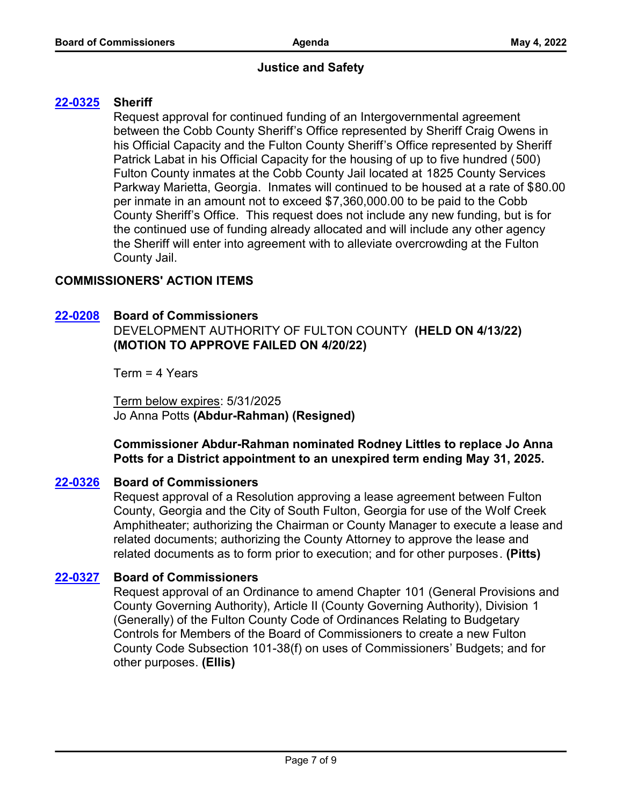# **Justice and Safety**

# **[22-0325](http://fulton.legistar.com/gateway.aspx?m=l&id=/matter.aspx?key=10705) Sheriff**

Request approval for continued funding of an Intergovernmental agreement between the Cobb County Sheriff's Office represented by Sheriff Craig Owens in his Official Capacity and the Fulton County Sheriff's Office represented by Sheriff Patrick Labat in his Official Capacity for the housing of up to five hundred (500) Fulton County inmates at the Cobb County Jail located at 1825 County Services Parkway Marietta, Georgia. Inmates will continued to be housed at a rate of \$80.00 per inmate in an amount not to exceed \$7,360,000.00 to be paid to the Cobb County Sheriff's Office. This request does not include any new funding, but is for the continued use of funding already allocated and will include any other agency the Sheriff will enter into agreement with to alleviate overcrowding at the Fulton County Jail.

# **COMMISSIONERS' ACTION ITEMS**

# **[22-0208](http://fulton.legistar.com/gateway.aspx?m=l&id=/matter.aspx?key=10699) Board of Commissioners**

DEVELOPMENT AUTHORITY OF FULTON COUNTY **(HELD ON 4/13/22) (MOTION TO APPROVE FAILED ON 4/20/22)**

Term = 4 Years

Term below expires: 5/31/2025 Jo Anna Potts **(Abdur-Rahman) (Resigned)**

**Commissioner Abdur-Rahman nominated Rodney Littles to replace Jo Anna Potts for a District appointment to an unexpired term ending May 31, 2025.**

# **[22-0326](http://fulton.legistar.com/gateway.aspx?m=l&id=/matter.aspx?key=10792) Board of Commissioners**

Request approval of a Resolution approving a lease agreement between Fulton County, Georgia and the City of South Fulton, Georgia for use of the Wolf Creek Amphitheater; authorizing the Chairman or County Manager to execute a lease and related documents; authorizing the County Attorney to approve the lease and related documents as to form prior to execution; and for other purposes. **(Pitts)**

## **[22-0327](http://fulton.legistar.com/gateway.aspx?m=l&id=/matter.aspx?key=10788) Board of Commissioners**

Request approval of an Ordinance to amend Chapter 101 (General Provisions and County Governing Authority), Article II (County Governing Authority), Division 1 (Generally) of the Fulton County Code of Ordinances Relating to Budgetary Controls for Members of the Board of Commissioners to create a new Fulton County Code Subsection 101-38(f) on uses of Commissioners' Budgets; and for other purposes. **(Ellis)**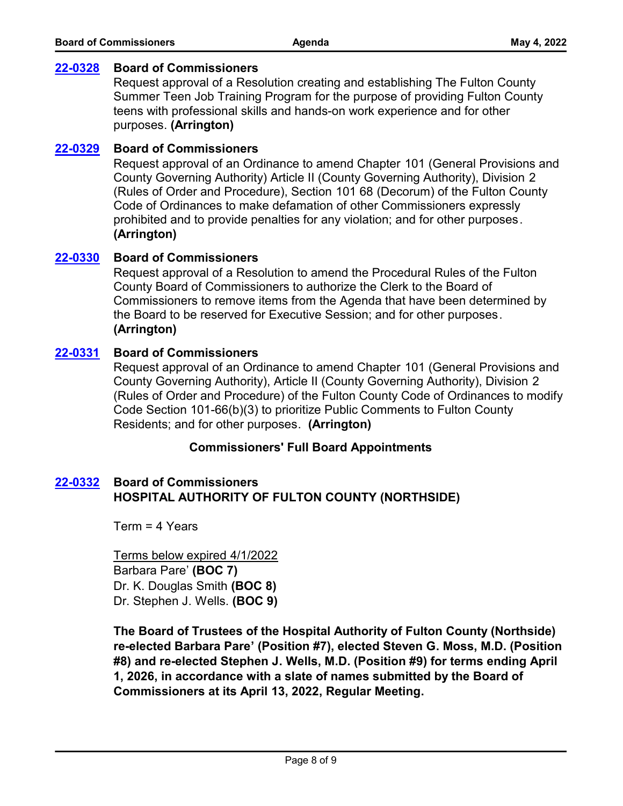#### **[22-0328](http://fulton.legistar.com/gateway.aspx?m=l&id=/matter.aspx?key=10775) Board of Commissioners**

Request approval of a Resolution creating and establishing The Fulton County Summer Teen Job Training Program for the purpose of providing Fulton County teens with professional skills and hands-on work experience and for other purposes. **(Arrington)**

## **[22-0329](http://fulton.legistar.com/gateway.aspx?m=l&id=/matter.aspx?key=10793) Board of Commissioners**

Request approval of an Ordinance to amend Chapter 101 (General Provisions and County Governing Authority) Article II (County Governing Authority), Division 2 (Rules of Order and Procedure), Section 101 68 (Decorum) of the Fulton County Code of Ordinances to make defamation of other Commissioners expressly prohibited and to provide penalties for any violation; and for other purposes. **(Arrington)**

## **[22-0330](http://fulton.legistar.com/gateway.aspx?m=l&id=/matter.aspx?key=10794) Board of Commissioners**

Request approval of a Resolution to amend the Procedural Rules of the Fulton County Board of Commissioners to authorize the Clerk to the Board of Commissioners to remove items from the Agenda that have been determined by the Board to be reserved for Executive Session; and for other purposes. **(Arrington)**

#### **[22-0331](http://fulton.legistar.com/gateway.aspx?m=l&id=/matter.aspx?key=10795) Board of Commissioners**

Request approval of an Ordinance to amend Chapter 101 (General Provisions and County Governing Authority), Article II (County Governing Authority), Division 2 (Rules of Order and Procedure) of the Fulton County Code of Ordinances to modify Code Section 101-66(b)(3) to prioritize Public Comments to Fulton County Residents; and for other purposes. **(Arrington)**

## **Commissioners' Full Board Appointments**

# **HOSPITAL AUTHORITY OF FULTON COUNTY (NORTHSIDE) [22-0332](http://fulton.legistar.com/gateway.aspx?m=l&id=/matter.aspx?key=10789) Board of Commissioners**

Term = 4 Years

Terms below expired 4/1/2022 Barbara Pare' **(BOC 7)** Dr. K. Douglas Smith **(BOC 8)** Dr. Stephen J. Wells. **(BOC 9)**

**The Board of Trustees of the Hospital Authority of Fulton County (Northside) re-elected Barbara Pare' (Position #7), elected Steven G. Moss, M.D. (Position #8) and re-elected Stephen J. Wells, M.D. (Position #9) for terms ending April 1, 2026, in accordance with a slate of names submitted by the Board of Commissioners at its April 13, 2022, Regular Meeting.**